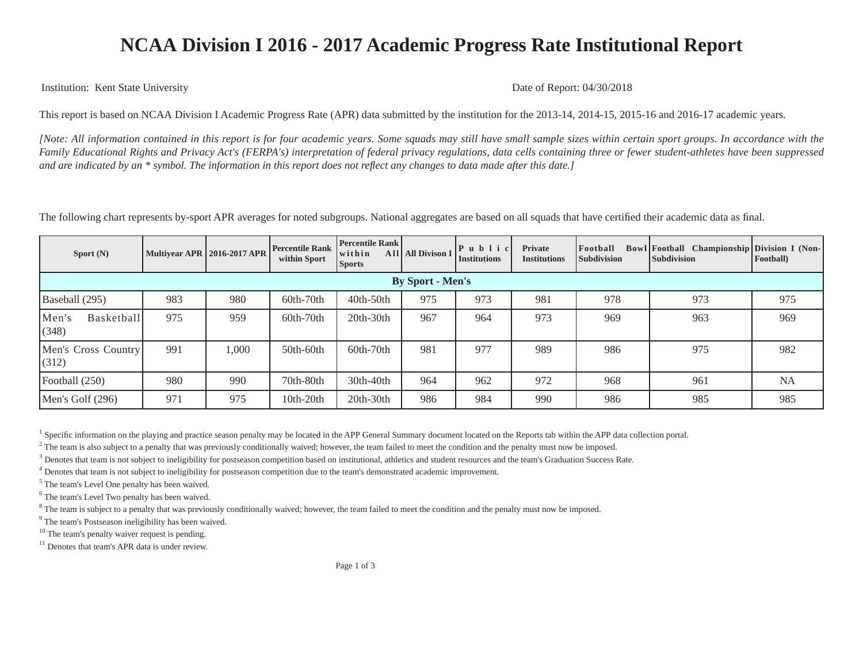## **NCAA Division I 2016 - 2017 Academic Progress Rate Institutional Report**

## Institution: Kent State University Date of Report: 04/30/2018

This report is based on NCAA Division I Academic Progress Rate (APR) data submitted by the institution for the 2013-14, 2014-15, 2015-16 and 2016-17 academic years.

*[Note: All information contained in this report is for four academic years. Some squads may still have small sample sizes within certain sport groups. In accordance with the Family Educational Rights and Privacy Act's (FERPA's) interpretation of federal privacy regulations, data cells containing three or fewer student-athletes have been suppressed and are indicated by an \* symbol. The information in this report does not reflect any changes to data made after this date.]*

The following chart represents by-sport APR averages for noted subgroups. National aggregates are based on all squads that have certified their academic data as final.

| Sport $(N)$                         |     | Multiyear APR   2016-2017 APR | <b>Percentile Rank</b><br>within Sport | <b>Percentile Rank</b><br>within<br><b>Sports</b> | <b>All All Divison I</b> | $ P$ u b l i c<br><b>Institutions</b> | <b>Private</b><br><b>Institutions</b> | Football<br><b>Subdivision</b> | Bowl Football Championship Division I (Non-<br><b>Subdivision</b> | Football) |
|-------------------------------------|-----|-------------------------------|----------------------------------------|---------------------------------------------------|--------------------------|---------------------------------------|---------------------------------------|--------------------------------|-------------------------------------------------------------------|-----------|
| <b>By Sport - Men's</b>             |     |                               |                                        |                                                   |                          |                                       |                                       |                                |                                                                   |           |
| Baseball (295)                      | 983 | 980                           | $60th-70th$                            | $40th-50th$                                       | 975                      | 973                                   | 981                                   | 978                            | 973                                                               | 975       |
| Men's<br><b>Basketball</b><br>(348) | 975 | 959                           | $60th-70th$                            | $20th-30th$                                       | 967                      | 964                                   | 973                                   | 969                            | 963                                                               | 969       |
| Men's Cross Country<br>(312)        | 991 | 1,000                         | $50th-60th$                            | $60th-70th$                                       | 981                      | 977                                   | 989                                   | 986                            | 975                                                               | 982       |
| Football $(250)$                    | 980 | 990                           | 70th-80th                              | 30th-40th                                         | 964                      | 962                                   | 972                                   | 968                            | 961                                                               | <b>NA</b> |
| Men's Golf (296)                    | 971 | 975                           | $10th-20th$                            | $20th-30th$                                       | 986                      | 984                                   | 990                                   | 986                            | 985                                                               | 985       |

<sup>1</sup> Specific information on the playing and practice season penalty may be located in the APP General Summary document located on the Reports tab within the APP data collection portal.

 $^2$  The team is also subject to a penalty that was previously conditionally waived; however, the team failed to meet the condition and the penalty must now be imposed.

<sup>3</sup> Denotes that team is not subject to ineligibility for postseason competition based on institutional, athletics and student resources and the team's Graduation Success Rate.

<sup>4</sup> Denotes that team is not subject to ineligibility for postseason competition due to the team's demonstrated academic improvement.

<sup>5</sup> The team's Level One penalty has been waived.

<sup>6</sup> The team's Level Two penalty has been waived.

<sup>8</sup> The team is subject to a penalty that was previously conditionally waived; however, the team failed to meet the condition and the penalty must now be imposed.

<sup>9</sup> The team's Postseason ineligibility has been waived.

<sup>10</sup> The team's penalty waiver request is pending.

<sup>11</sup> Denotes that team's APR data is under review.

Page 1 of 3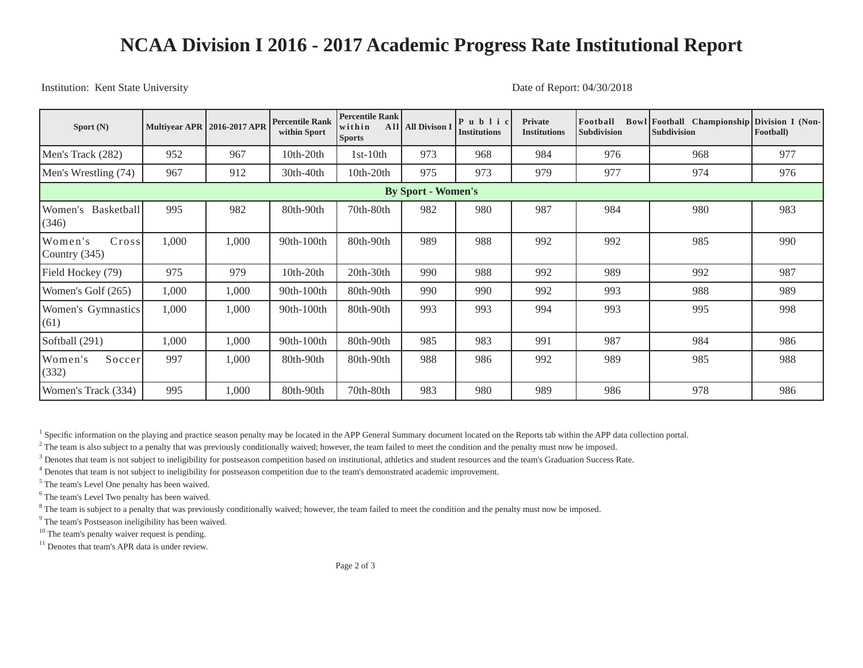## **NCAA Division I 2016 - 2017 Academic Progress Rate Institutional Report**

Institution: Kent State University Date of Report: 04/30/2018

| Sport $(N)$                       |       | Multiyear APR   2016-2017 APR | <b>Percentile Rank</b><br>within Sport | <b>Percentile Rank</b><br>within<br><b>Sports</b> | All All Divison I | $P$ u $b$ l i c<br><b>Institutions</b> | Private<br><b>Institutions</b> | Football<br><b>Subdivision</b> | Bowl Football Championship Division I (Non-<br><b>Subdivision</b> | Football) |  |
|-----------------------------------|-------|-------------------------------|----------------------------------------|---------------------------------------------------|-------------------|----------------------------------------|--------------------------------|--------------------------------|-------------------------------------------------------------------|-----------|--|
| Men's Track (282)                 | 952   | 967                           | $10th-20th$                            | $1st-10th$                                        | 973               | 968                                    | 984                            | 976                            | 968                                                               | 977       |  |
| Men's Wrestling (74)              | 967   | 912                           | 30th-40th                              | $10th-20th$                                       | 975               | 973                                    | 979                            | 977                            | 974                                                               | 976       |  |
| <b>By Sport - Women's</b>         |       |                               |                                        |                                                   |                   |                                        |                                |                                |                                                                   |           |  |
| Women's Basketball<br>(346)       | 995   | 982                           | 80th-90th                              | 70th-80th                                         | 982               | 980                                    | 987                            | 984                            | 980                                                               | 983       |  |
| Cross<br>Women's<br>Country (345) | 1,000 | 1,000                         | 90th-100th                             | 80th-90th                                         | 989               | 988                                    | 992                            | 992                            | 985                                                               | 990       |  |
| Field Hockey (79)                 | 975   | 979                           | 10th-20th                              | $20th-30th$                                       | 990               | 988                                    | 992                            | 989                            | 992                                                               | 987       |  |
| Women's Golf (265)                | 1,000 | 1,000                         | 90th-100th                             | 80th-90th                                         | 990               | 990                                    | 992                            | 993                            | 988                                                               | 989       |  |
| Women's Gymnastics<br>(61)        | 1,000 | 1,000                         | 90th-100th                             | 80th-90th                                         | 993               | 993                                    | 994                            | 993                            | 995                                                               | 998       |  |
| Softball (291)                    | 1,000 | 1,000                         | 90th-100th                             | 80th-90th                                         | 985               | 983                                    | 991                            | 987                            | 984                                                               | 986       |  |
| Women's<br>Soccer<br>(332)        | 997   | 1,000                         | 80th-90th                              | 80th-90th                                         | 988               | 986                                    | 992                            | 989                            | 985                                                               | 988       |  |
| Women's Track (334)               | 995   | 1,000                         | 80th-90th                              | 70th-80th                                         | 983               | 980                                    | 989                            | 986                            | 978                                                               | 986       |  |

<sup>1</sup> Specific information on the playing and practice season penalty may be located in the APP General Summary document located on the Reports tab within the APP data collection portal.

 $^2$  The team is also subject to a penalty that was previously conditionally waived; however, the team failed to meet the condition and the penalty must now be imposed.

<sup>3</sup> Denotes that team is not subject to ineligibility for postseason competition based on institutional, athletics and student resources and the team's Graduation Success Rate.

<sup>4</sup> Denotes that team is not subject to ineligibility for postseason competition due to the team's demonstrated academic improvement.

<sup>5</sup> The team's Level One penalty has been waived.

<sup>6</sup> The team's Level Two penalty has been waived.

<sup>8</sup> The team is subject to a penalty that was previously conditionally waived; however, the team failed to meet the condition and the penalty must now be imposed.

<sup>9</sup> The team's Postseason ineligibility has been waived.

<sup>10</sup> The team's penalty waiver request is pending.

<sup>11</sup> Denotes that team's APR data is under review.